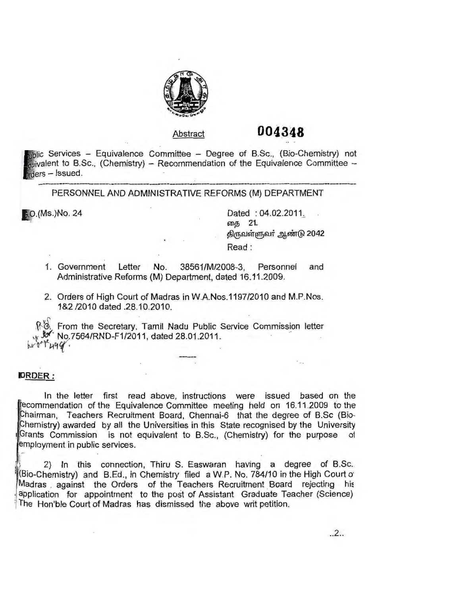

## Abstract **004348**

 $_{\text{mblic}}$  Services - Equivalence Committee - Degree of B.Sc., (Bio-Chemistry) not  $u$ ivalent to B.Sc., (Chemistry) – Recommendation of the Equivalence Committee –  $area - l$ ssued.

PERSONNEL AND ADMINISTRATIVE REFORMS (M) DEPARTMENT

6.0. (Ms.) No. 24 Dated : 04.02.2011. தை 21. திருவள்ளுவர் ஆண்டு 2042 Read :

- 1. Government Letter No. 38561/M/2008-3, Personnel and Administrative Reforms (M) Department, dated 16.11.2009.
- 2. Orders of High Court of Madras in W.A.Nos.1197/2010 and M.P.Nos. 1 &2 /2010 dated .28.10.2010.

**个3.** From the Secretary, Tamil Nadu Public Service Commission letter  $v_*$  V · No. 7564/RND-F1/2011, dated 28.01.2011.

## **l>RDER:**

In the letter first read above, instructions were issued based on the recommendation of the Equivalence Committee meeting held on 16.11.2009 to the hairman, Teachers Recruitment Board, Chennai-6 that the degree of B.Sc (Bio-Chemistry) awarded by all the Universities in this State recognised by the University Grants Commission is not equivalent to B.Sc., (Chemistry) for the purpose of employment in public services.

i 2) In this connection, Thiru S. Easwaran having a degree of B.Sc. 1 (Bio-Chemistry) and B.Ed., in Chemistry filed a W.P. No. 784/10 in the High Court of Madras against the Orders of the Teachers Recruitment Board rejecting his · application for appointment to the post of Assistant Graduate Teacher (Science) The Hon'ble Court of Madras has dismissed the above writ petition.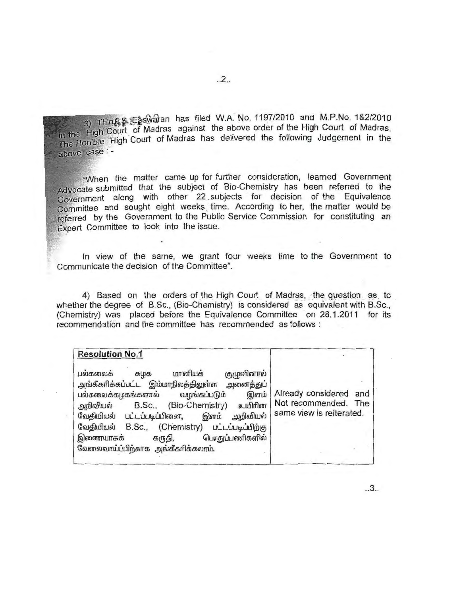3) Thirth & Easwaran has filed W.A. No. 1197/2010 and M.P.No. 1&2/2010 in the High Court of Madras against the above order of the High Court of Madras. In the Figh Court of Madras has delivered the following Judgement in the above case : -

"When the matter came up for further consideration, learned Government Advocate submitted that the subject of Bio-Chemistry has been referred to the Government along with other 22 subjects for decision of the Equivalence Committee and sought eight weeks time. According to her, the matter would be referred by the Government to the Public Service Commission for constituting an Expert Committee to look into the issue.

In view of the same, we grant four weeks time to the Government to Communicate the decision of the Committee".

4) Based on the orders of the High Court of Madras, the question as to whether the degree of B.Sc., (Bio-Chemistry) is considered as equivalent with B.Sc., (Chemistry) was placed before the Equivalence Committee on 28.1.2011 for its recommendation and the committee has recommended as follows :

| <b>Resolution No.1</b>                                                                                                                                                                                                                                                                                                                                                    |                                                                            |
|---------------------------------------------------------------------------------------------------------------------------------------------------------------------------------------------------------------------------------------------------------------------------------------------------------------------------------------------------------------------------|----------------------------------------------------------------------------|
| பல்கலைக்<br>குழுவினால்<br>மானியக்<br>கழக<br>அங்கீகரிக்கப்பட்ட இம்மாநிலத்திலுள்ள<br>அனைத்துப்<br>பல்கலைக்கழகங்களால்<br>இளம்<br>வழங்கப்படும்<br>B.Sc., (Bio-Chemistry) உயிரின<br>அறிவியல்<br>வேதியியல் பட்டப்படிப்பினை,<br>இளம் அறிவியல்<br>B.Sc., (Chemistry) பட்டப்படிப்பிற்கு<br>வேகியியல்<br>பொதுப்பணிகளில்<br>இணையாகக்<br>கருதி,<br>வேலைவாய்ப்பிற்காக அங்கீகரிக்கலாம். | Already considered and<br>Not recommended. The<br>same view is reiterated. |

 $.2.$